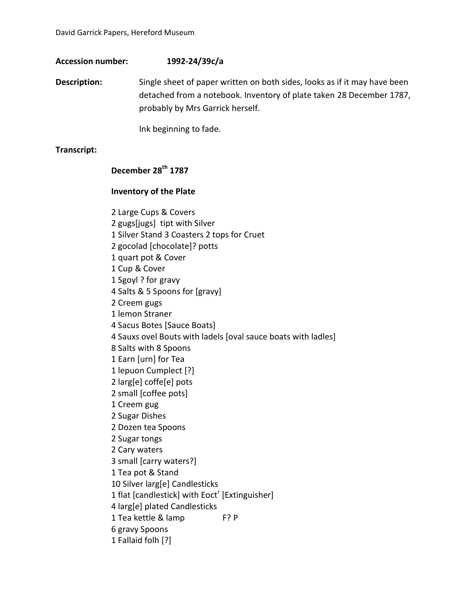## **Accession number: 1992-24/39c/a**

**Description:** Single sheet of paper written on both sides, looks as if it may have been detached from a notebook. Inventory of plate taken 28 December 1787, probably by Mrs Garrick herself.

Ink beginning to fade.

### **Transcript:**

# **December 28th 1787**

#### **Inventory of the Plate**

2 Large Cups & Covers 2 gugs[jugs] tipt with Silver 1 Silver Stand 3 Coasters 2 tops for Cruet 2 gocolad [chocolate]? potts 1 quart pot & Cover 1 Cup & Cover 1 Sgoyl ? for gravy 4 Salts & 5 Spoons for [gravy] 2 Creem gugs 1 lemon Straner 4 Sacus Botes [Sauce Boats] 4 Sauxs ovel Bouts with ladels [oval sauce boats with ladles] 8 Salts with 8 Spoons 1 Earn [urn] for Tea 1 lepuon Cumplect [?] 2 larg[e] coffe[e] pots 2 small [coffee pots] 1 Creem gug 2 Sugar Dishes 2 Dozen tea Spoons 2 Sugar tongs 2 Cary waters 3 small [carry waters?] 1 Tea pot & Stand 10 Silver larg[e] Candlesticks 1 flat [candlestick] with  $E$ oct<sup>r</sup> [Extinguisher] 4 larg[e] plated Candlesticks 1 Tea kettle & lamp F? P 6 gravy Spoons 1 Fallaid folh [?]